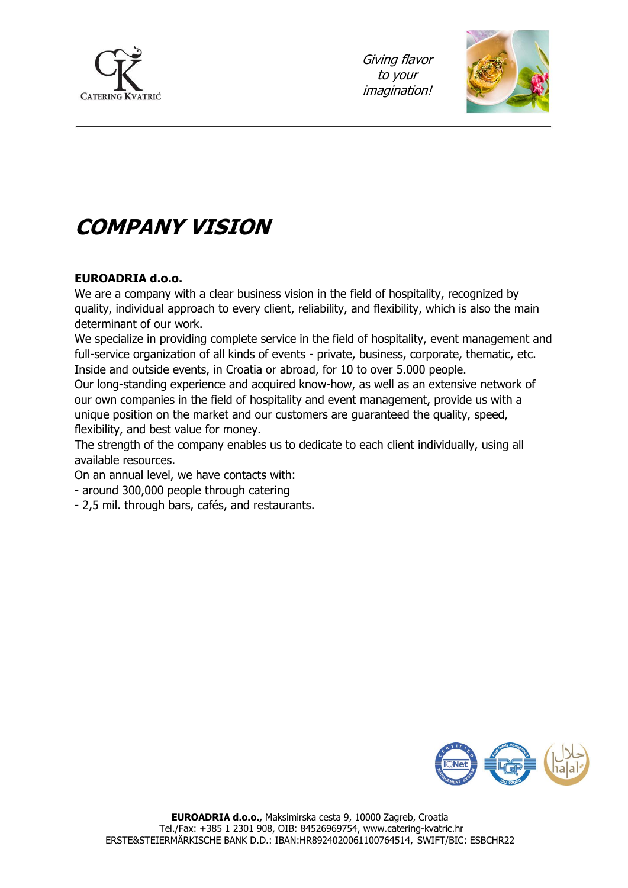

Giving flavor to your imagination!



# **COMPANY VISION**

#### **EUROADRIA d.o.o.**

We are a company with a clear business vision in the field of hospitality, recognized by quality, individual approach to every client, reliability, and flexibility, which is also the main determinant of our work.

We specialize in providing complete service in the field of hospitality, event management and full-service organization of all kinds of events - private, business, corporate, thematic, etc. Inside and outside events, in Croatia or abroad, for 10 to over 5.000 people.

Our long-standing experience and acquired know-how, as well as an extensive network of our own companies in the field of hospitality and event management, provide us with a unique position on the market and our customers are guaranteed the quality, speed, flexibility, and best value for money.

The strength of the company enables us to dedicate to each client individually, using all available resources.

On an annual level, we have contacts with:

- around 300,000 people through catering
- 2,5 mil. through bars, cafés, and restaurants.

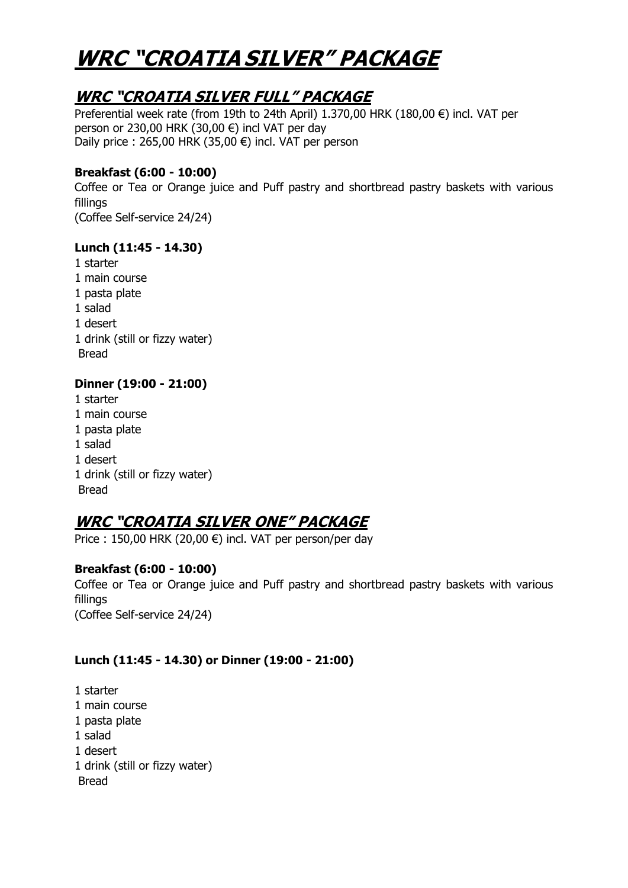# **WRC "CROATIA SILVER" PACKAGE**

### **WRC "CROATIA SILVER FULL" PACKAGE**

Preferential week rate (from 19th to 24th April) 1.370,00 HRK (180,00 €) incl. VAT per person or 230,00 HRK (30,00  $\epsilon$ ) incl VAT per day Daily price : 265,00 HRK (35,00 €) incl. VAT per person

#### **Breakfast (6:00 - 10:00)**

Coffee or Tea or Orange juice and Puff pastry and shortbread pastry baskets with various fillings (Coffee Self-service 24/24)

#### **Lunch (11:45 - 14.30)**

1 starter 1 main course 1 pasta plate 1 salad 1 desert 1 drink (still or fizzy water) Bread

### **Dinner (19:00 - 21:00)**

1 starter 1 main course 1 pasta plate 1 salad 1 desert 1 drink (still or fizzy water) Bread

## **WRC "CROATIA SILVER ONE" PACKAGE**

Price : 150,00 HRK (20,00 €) incl. VAT per person/per day

### **Breakfast (6:00 - 10:00)**

Coffee or Tea or Orange juice and Puff pastry and shortbread pastry baskets with various fillings

(Coffee Self-service 24/24)

### **Lunch (11:45 - 14.30) or Dinner (19:00 - 21:00)**

1 starter 1 main course 1 pasta plate 1 salad 1 desert 1 drink (still or fizzy water) Bread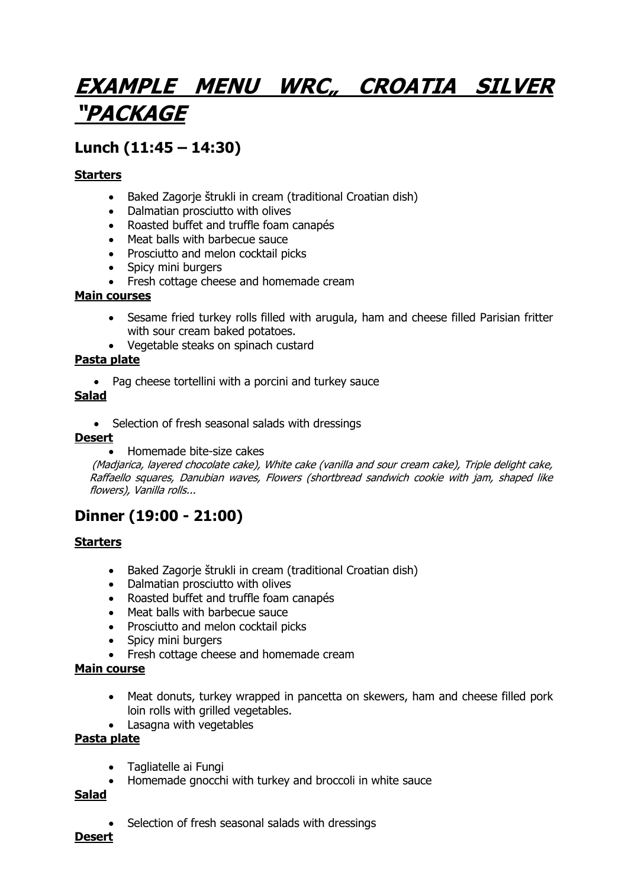# **EXAMPLE MENU WRC" CROATIA SILVER "PACKAGE**

# **Lunch (11:45 – 14:30)**

#### **Starters**

- Baked Zagorje štrukli in cream (traditional Croatian dish)
- Dalmatian prosciutto with olives
- Roasted buffet and truffle foam canapés
- Meat balls with barbecue sauce
- Prosciutto and melon cocktail picks
- Spicy mini burgers
- Fresh cottage cheese and homemade cream

#### **Main courses**

- Sesame fried turkey rolls filled with arugula, ham and cheese filled Parisian fritter with sour cream baked potatoes.
- Vegetable steaks on spinach custard

#### **Pasta plate**

• Pag cheese tortellini with a porcini and turkey sauce

#### **Salad**

• Selection of fresh seasonal salads with dressings

#### **Desert**

• Homemade bite-size cakes

(Madjarica, layered chocolate cake), White cake (vanilla and sour cream cake), Triple delight cake, Raffaello squares, Danubian waves, Flowers (shortbread sandwich cookie with jam, shaped like flowers), Vanilla rolls...

## **Dinner (19:00 - 21:00)**

#### **Starters**

- Baked Zagorje štrukli in cream (traditional Croatian dish)
- Dalmatian prosciutto with olives
- Roasted buffet and truffle foam canapés
- Meat balls with barbecue sauce
- Prosciutto and melon cocktail picks
- Spicy mini burgers
- Fresh cottage cheese and homemade cream

#### **Main course**

- Meat donuts, turkey wrapped in pancetta on skewers, ham and cheese filled pork loin rolls with grilled vegetables.
- Lasagna with vegetables

#### **Pasta plate**

- Tagliatelle ai Fungi
- Homemade gnocchi with turkey and broccoli in white sauce

#### **Salad**

Selection of fresh seasonal salads with dressings

#### **Desert**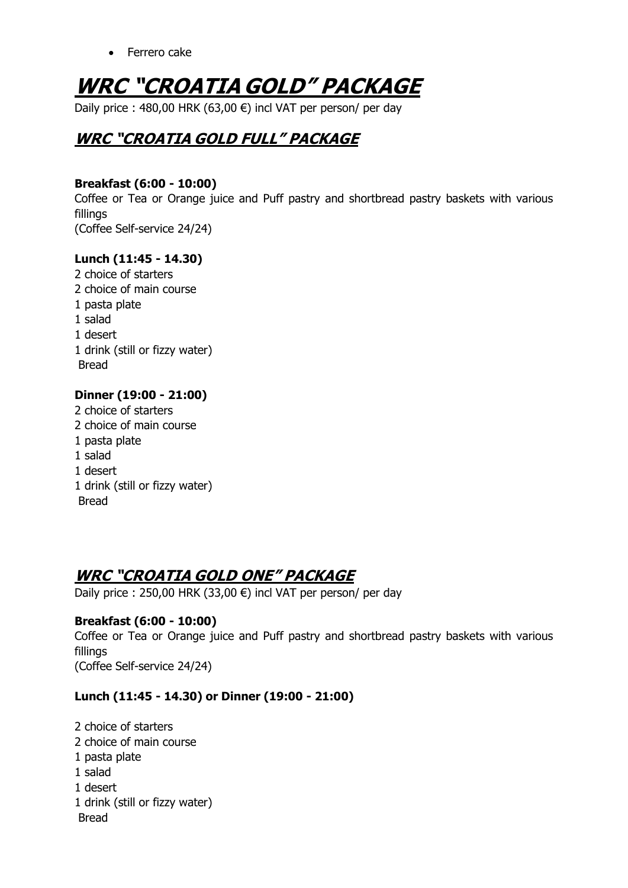• Ferrero cake

# **WRC "CROATIA GOLD" PACKAGE**

Daily price : 480,00 HRK (63,00 €) incl VAT per person/ per day

# **WRC "CROATIA GOLD FULL" PACKAGE**

#### **Breakfast (6:00 - 10:00)**

Coffee or Tea or Orange juice and Puff pastry and shortbread pastry baskets with various fillings (Coffee Self-service 24/24)

#### **Lunch (11:45 - 14.30)**

2 choice of starters 2 choice of main course 1 pasta plate 1 salad 1 desert 1 drink (still or fizzy water) Bread

#### **Dinner (19:00 - 21:00)**

2 choice of starters 2 choice of main course 1 pasta plate 1 salad 1 desert 1 drink (still or fizzy water) Bread

### **WRC "CROATIA GOLD ONE" PACKAGE**

Daily price : 250,00 HRK (33,00 €) incl VAT per person/ per day

#### **Breakfast (6:00 - 10:00)**

Coffee or Tea or Orange juice and Puff pastry and shortbread pastry baskets with various fillings (Coffee Self-service 24/24)

#### **Lunch (11:45 - 14.30) or Dinner (19:00 - 21:00)**

2 choice of starters 2 choice of main course 1 pasta plate 1 salad 1 desert 1 drink (still or fizzy water) Bread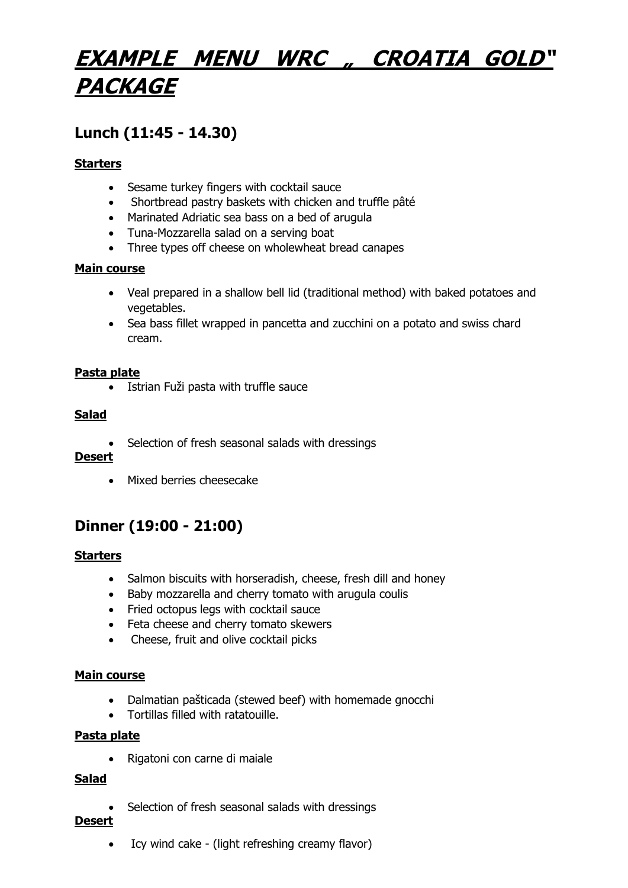# **EXAMPLE MENU WRC " CROATIA GOLD" PACKAGE**

# **Lunch (11:45 - 14.30)**

#### **Starters**

- Sesame turkey fingers with cocktail sauce
- Shortbread pastry baskets with chicken and truffle pâté
- Marinated Adriatic sea bass on a bed of arugula
- Tuna-Mozzarella salad on a serving boat
- Three types off cheese on wholewheat bread canapes

#### **Main course**

- Veal prepared in a shallow bell lid (traditional method) with baked potatoes and vegetables.
- Sea bass fillet wrapped in pancetta and zucchini on a potato and swiss chard cream.

#### **Pasta plate**

• Istrian Fuži pasta with truffle sauce

#### **Salad**

• Selection of fresh seasonal salads with dressings

#### **Desert**

• Mixed berries cheesecake

## **Dinner (19:00 - 21:00)**

#### **Starters**

- Salmon biscuits with horseradish, cheese, fresh dill and honey
- Baby mozzarella and cherry tomato with arugula coulis
- Fried octopus legs with cocktail sauce
- Feta cheese and cherry tomato skewers
- Cheese, fruit and olive cocktail picks

#### **Main course**

- Dalmatian pašticada (stewed beef) with homemade gnocchi
- Tortillas filled with ratatouille.

#### **Pasta plate**

• Rigatoni con carne di maiale

#### **Salad**

• Selection of fresh seasonal salads with dressings

#### **Desert**

• Icy wind cake - (light refreshing creamy flavor)